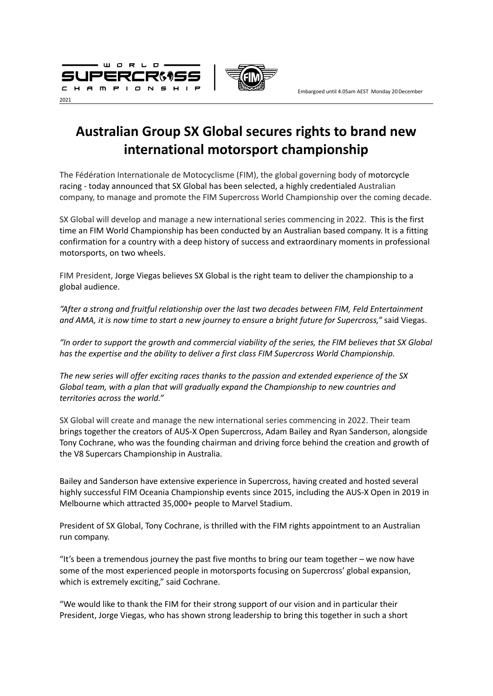



Embargoed until 4.05am AEST Monday 20December

# **Australian Group SX Global secures rights to brand new international motorsport championship**

The Fédération Internationale de Motocyclisme (FIM), the global governing body of [motorcycle](https://en.wikipedia.org/wiki/Motorcycle_racing) [racing](https://en.wikipedia.org/wiki/Motorcycle_racing) - today announced that SX Global has been selected, a highly credentialed Australian company, to manage and promote the FIM Supercross World Championship over the coming decade.

SX Global will develop and manage a new international series commencing in 2022. This is the first time an FIM World Championship has been conducted by an Australian based company. It is a fitting confirmation for a country with a deep history of success and extraordinary moments in professional motorsports, on two wheels.

FIM President, Jorge Viegas believes SX Global is the right team to deliver the championship to a global audience.

*"After a strong and fruitful relationship over the last two decades between FIM, Feld Entertainment* and AMA, it is now time to start a new journey to ensure a bright future for Supercross," said Viegas.

"In order to support the growth and commercial viability of the series, the FIM believes that SX Global *has the expertise and the ability to deliver a first class FIM Supercross World Championship.*

*The new series will offer exciting races thanks to the passion and extended experience of the SX Global team, with a plan that will gradually expand the Championship to new countries and territories across the world."*

SX Global will create and manage the new international series commencing in 2022. Their team brings together the creators of AUS-X Open Supercross, Adam Bailey and Ryan Sanderson, alongside Tony Cochrane, who was the founding chairman and driving force behind the creation and growth of the V8 Supercars Championship in Australia.

Bailey and Sanderson have extensive experience in Supercross, having created and hosted several highly successful FIM Oceania Championship events since 2015, including the AUS-X Open in 2019 in Melbourne which attracted 35,000+ people to Marvel Stadium.

President of SX Global, Tony Cochrane, is thrilled with the FIM rights appointment to an Australian run company.

"It's been a tremendous journey the past five months to bring our team together – we now have some of the most experienced people in motorsports focusing on Supercross' global expansion, which is extremely exciting," said Cochrane.

"We would like to thank the FIM for their strong support of our vision and in particular their President, Jorge Viegas, who has shown strong leadership to bring this together in such a short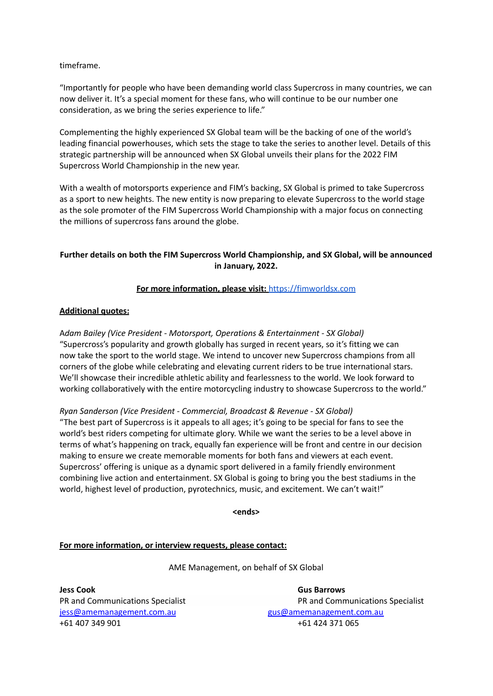timeframe.

"Importantly for people who have been demanding world class Supercross in many countries, we can now deliver it. It's a special moment for these fans, who will continue to be our number one consideration, as we bring the series experience to life."

Complementing the highly experienced SX Global team will be the backing of one of the world's leading financial powerhouses, which sets the stage to take the series to another level. Details of this strategic partnership will be announced when SX Global unveils their plans for the 2022 FIM Supercross World Championship in the new year.

With a wealth of motorsports experience and FIM's backing, SX Global is primed to take Supercross as a sport to new heights. The new entity is now preparing to elevate Supercross to the world stage as the sole promoter of the FIM Supercross World Championship with a major focus on connecting the millions of supercross fans around the globe.

# **Further details on both the FIM Supercross World Championship, and SX Global, will be announced in January, 2022.**

# **For more information, please visit:** <https://fimworldsx.com>

# **Additional quotes:**

A*dam Bailey (Vice President - Motorsport, Operations & Entertainment - SX Global)* "Supercross's popularity and growth globally has surged in recent years, so it's fitting we can now take the sport to the world stage. We intend to uncover new Supercross champions from all corners of the globe while celebrating and elevating current riders to be true international stars. We'll showcase their incredible athletic ability and fearlessness to the world. We look forward to working collaboratively with the entire motorcycling industry to showcase Supercross to the world."

*Ryan Sanderson (Vice President - Commercial, Broadcast & Revenue - SX Global)*

"The best part of Supercross is it appeals to all ages; it's going to be special for fans to see the world's best riders competing for ultimate glory. While we want the series to be a level above in terms of what's happening on track, equally fan experience will be front and centre in our decision making to ensure we create memorable moments for both fans and viewers at each event. Supercross' offering is unique as a dynamic sport delivered in a family friendly environment combining live action and entertainment. SX Global is going to bring you the best stadiums in the world, highest level of production, pyrotechnics, music, and excitement. We can't wait!"

**<ends>**

# **For more information, or interview requests, please contact:**

AME Management, on behalf of SX Global

**Jess Cook Gus Barrows** [jess@amemanagement.com.au](mailto:jess@amemanagement.com.au) [gus@amemanagement.com.au](mailto:gus@amemanagement.com.au) +61 407 349 901 +61 424 371 065

PR and Communications Specialist **PR** and Communications Specialist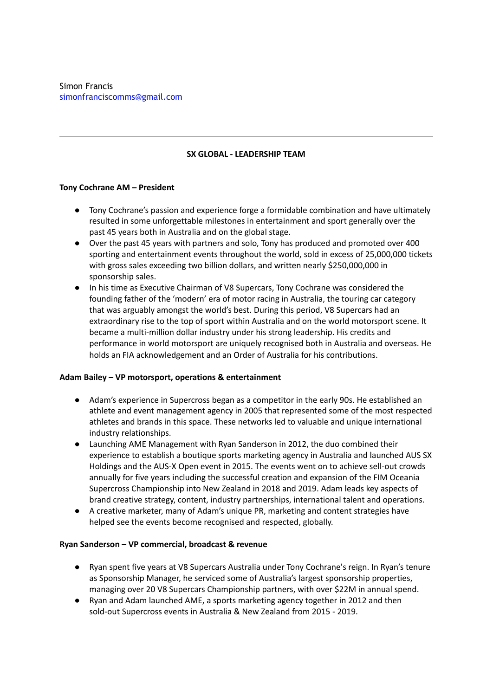### **SX GLOBAL - LEADERSHIP TEAM**

#### **Tony Cochrane AM – President**

- Tony Cochrane's passion and experience forge a formidable combination and have ultimately resulted in some unforgettable milestones in entertainment and sport generally over the past 45 years both in Australia and on the global stage.
- Over the past 45 years with partners and solo, Tony has produced and promoted over 400 sporting and entertainment events throughout the world, sold in excess of 25,000,000 tickets with gross sales exceeding two billion dollars, and written nearly \$250,000,000 in sponsorship sales.
- In his time as Executive Chairman of V8 Supercars, Tony Cochrane was considered the founding father of the 'modern' era of motor racing in Australia, the touring car category that was arguably amongst the world's best. During this period, V8 Supercars had an extraordinary rise to the top of sport within Australia and on the world motorsport scene. It became a multi-million dollar industry under his strong leadership. His credits and performance in world motorsport are uniquely recognised both in Australia and overseas. He holds an FIA acknowledgement and an Order of Australia for his contributions.

#### **Adam Bailey – VP motorsport, operations & entertainment**

- Adam's experience in Supercross began as a competitor in the early 90s. He established an athlete and event management agency in 2005 that represented some of the most respected athletes and brands in this space. These networks led to valuable and unique international industry relationships.
- Launching AME Management with Ryan Sanderson in 2012, the duo combined their experience to establish a boutique sports marketing agency in Australia and launched AUS SX Holdings and the AUS-X Open event in 2015. The events went on to achieve sell-out crowds annually for five years including the successful creation and expansion of the FIM Oceania Supercross Championship into New Zealand in 2018 and 2019. Adam leads key aspects of brand creative strategy, content, industry partnerships, international talent and operations.
- A creative marketer, many of Adam's unique PR, marketing and content strategies have helped see the events become recognised and respected, globally.

#### **Ryan Sanderson – VP commercial, broadcast & revenue**

- Ryan spent five years at V8 Supercars Australia under Tony Cochrane's reign. In Ryan's tenure as Sponsorship Manager, he serviced some of Australia's largest sponsorship properties, managing over 20 V8 Supercars Championship partners, with over \$22M in annual spend.
- Ryan and Adam launched AME, a sports marketing agency together in 2012 and then sold-out Supercross events in Australia & New Zealand from 2015 - 2019.